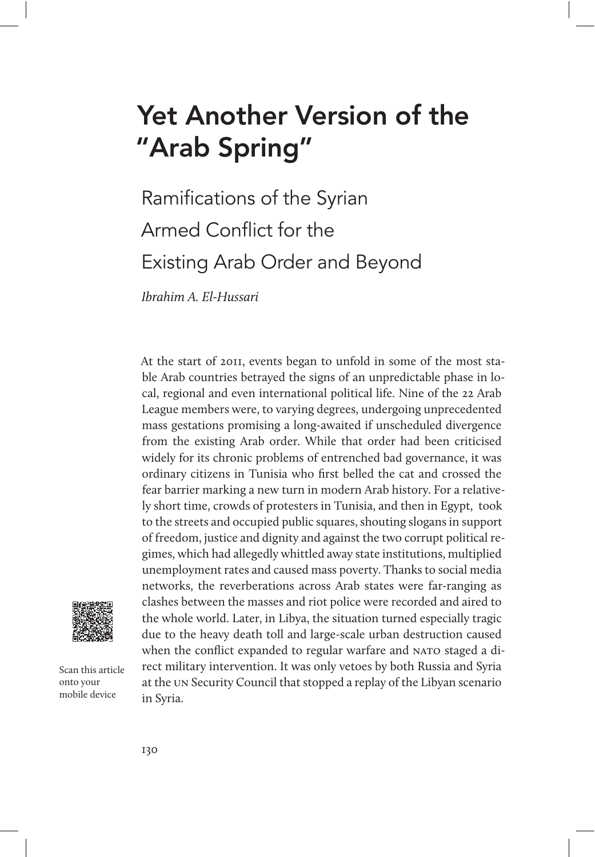# Yet Another Version of the "Arab Spring"

# Ramifications of the Syrian Armed Conflict for the Existing Arab Order and Beyond

Ibrahim A. El-Hussari

At the start of 2011, events began to unfold in some of the most stable Arab countries betrayed the signs of an unpredictable phase in local, regional and even international political life. Nine of the 22 Arab League members were, to varying degrees, undergoing unprecedented mass gestations promising a long-awaited if unscheduled divergence from the existing Arab order. While that order had been criticised widely for its chronic problems of entrenched bad governance, it was ordinary citizens in Tunisia who first belled the cat and crossed the fear barrier marking a new turn in modern Arab history. For a relatively short time, crowds of protesters in Tunisia, and then in Egypt, took to the streets and occupied public squares, shouting slogans in support of freedom, justice and dignity and against the two corrupt political regimes, which had allegedly whittled away state institutions, multiplied unemployment rates and caused mass poverty. Thanks to social media networks, the reverberations across Arab states were far-ranging as clashes between the masses and riot police were recorded and aired to the whole world. Later, in Libya, the situation turned especially tragic due to the heavy death toll and large-scale urban destruction caused when the conflict expanded to regular warfare and NATO staged a direct military intervention. It was only vetoes by both Russia and Syria at the un Security Council that stopped a replay of the Libyan scenario in Syria.



Scan this article onto your mobile device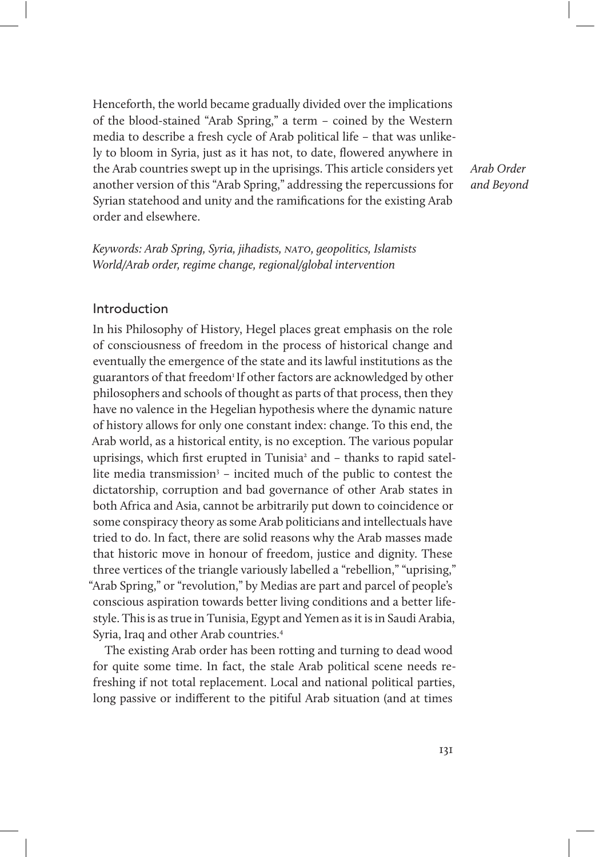Henceforth, the world became gradually divided over the implications of the blood-stained "Arab Spring," a term – coined by the Western media to describe a fresh cycle of Arab political life – that was unlikely to bloom in Syria, just as it has not, to date, flowered anywhere in the Arab countries swept up in the uprisings. This article considers yet another version of this "Arab Spring," addressing the repercussions for Syrian statehood and unity and the ramifications for the existing Arab order and elsewhere.

Arab Order and Beyond

Keywords: Arab Spring, Syria, jihadists, NATO, geopolitics, Islamists World/Arab order, regime change, regional/global intervention

## Introduction

In his Philosophy of History, Hegel places great emphasis on the role of consciousness of freedom in the process of historical change and eventually the emergence of the state and its lawful institutions as the guarantors of that freedom<sup>1</sup> If other factors are acknowledged by other philosophers and schools of thought as parts of that process, then they have no valence in the Hegelian hypothesis where the dynamic nature of history allows for only one constant index: change. To this end, the Arab world, as a historical entity, is no exception. The various popular uprisings, which first erupted in Tunisia<sup>2</sup> and - thanks to rapid satellite media transmission<sup>3</sup> – incited much of the public to contest the dictatorship, corruption and bad governance of other Arab states in both Africa and Asia, cannot be arbitrarily put down to coincidence or some conspiracy theory as some Arab politicians and intellectuals have tried to do. In fact, there are solid reasons why the Arab masses made that historic move in honour of freedom, justice and dignity. These three vertices of the triangle variously labelled a "rebellion," "uprising," "Arab Spring," or "revolution," by Medias are part and parcel of people's conscious aspiration towards better living conditions and a better lifestyle. This is as true in Tunisia, Egypt and Yemen as it is in Saudi Arabia, Syria, Iraq and other Arab countries.4

The existing Arab order has been rotting and turning to dead wood for quite some time. In fact, the stale Arab political scene needs refreshing if not total replacement. Local and national political parties, long passive or indifferent to the pitiful Arab situation (and at times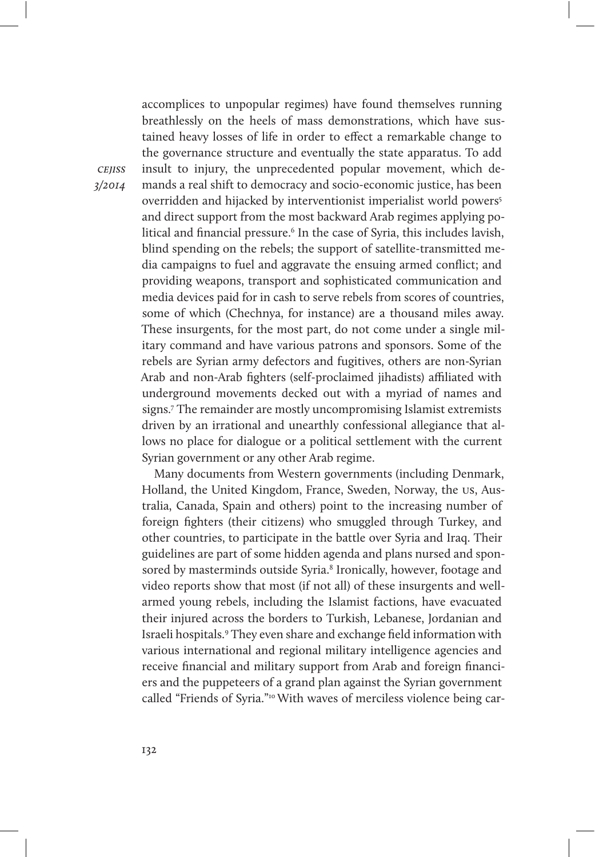accomplices to unpopular regimes) have found themselves running breathlessly on the heels of mass demonstrations, which have sustained heavy losses of life in order to effect a remarkable change to the governance structure and eventually the state apparatus. To add insult to injury, the unprecedented popular movement, which demands a real shift to democracy and socio-economic justice, has been overridden and hijacked by interventionist imperialist world powers5 and direct support from the most backward Arab regimes applying political and financial pressure.<sup>6</sup> In the case of Syria, this includes lavish, blind spending on the rebels; the support of satellite-transmitted media campaigns to fuel and aggravate the ensuing armed conflict; and providing weapons, transport and sophisticated communication and media devices paid for in cash to serve rebels from scores of countries, some of which (Chechnya, for instance) are a thousand miles away. These insurgents, for the most part, do not come under a single military command and have various patrons and sponsors. Some of the rebels are Syrian army defectors and fugitives, others are non-Syrian Arab and non-Arab fighters (self-proclaimed jihadists) affiliated with underground movements decked out with a myriad of names and signs.7 The remainder are mostly uncompromising Islamist extremists driven by an irrational and unearthly confessional allegiance that allows no place for dialogue or a political settlement with the current Syrian government or any other Arab regime.

Many documents from Western governments (including Denmark, Holland, the United Kingdom, France, Sweden, Norway, the us, Australia, Canada, Spain and others) point to the increasing number of foreign fighters (their citizens) who smuggled through Turkey, and other countries, to participate in the battle over Syria and Iraq. Their guidelines are part of some hidden agenda and plans nursed and sponsored by masterminds outside Syria.<sup>8</sup> Ironically, however, footage and video reports show that most (if not all) of these insurgents and wellarmed young rebels, including the Islamist factions, have evacuated their injured across the borders to Turkish, Lebanese, Jordanian and Israeli hospitals.9 They even share and exchange field information with various international and regional military intelligence agencies and receive financial and military support from Arab and foreign financiers and the puppeteers of a grand plan against the Syrian government called "Friends of Syria."10 With waves of merciless violence being car-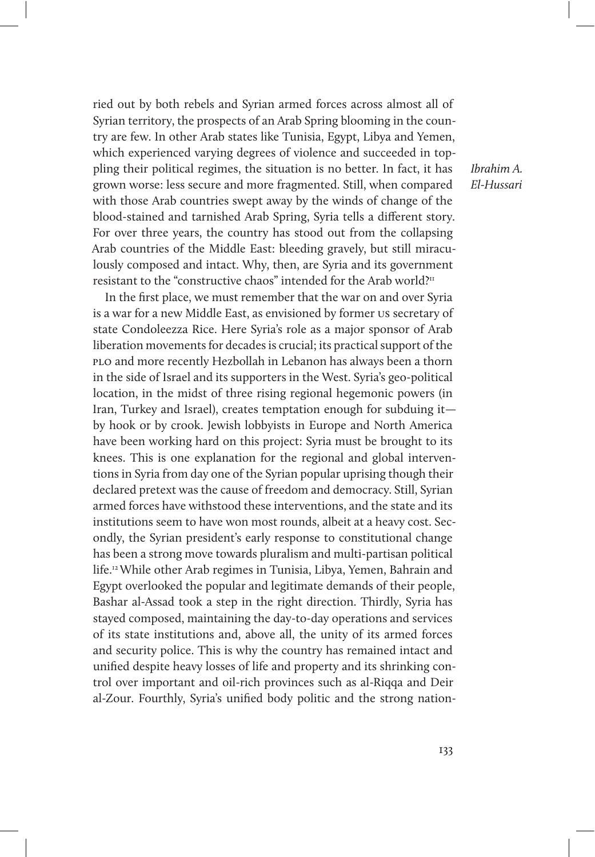ried out by both rebels and Syrian armed forces across almost all of Syrian territory, the prospects of an Arab Spring blooming in the country are few. In other Arab states like Tunisia, Egypt, Libya and Yemen, which experienced varying degrees of violence and succeeded in toppling their political regimes, the situation is no better. In fact, it has grown worse: less secure and more fragmented. Still, when compared with those Arab countries swept away by the winds of change of the blood-stained and tarnished Arab Spring, Syria tells a different story. For over three years, the country has stood out from the collapsing Arab countries of the Middle East: bleeding gravely, but still miraculously composed and intact. Why, then, are Syria and its government resistant to the "constructive chaos" intended for the Arab world?11

In the first place, we must remember that the war on and over Syria is a war for a new Middle East, as envisioned by former us secretary of state Condoleezza Rice. Here Syria's role as a major sponsor of Arab liberation movements for decades is crucial; its practical support of the plo and more recently Hezbollah in Lebanon has always been a thorn in the side of Israel and its supporters in the West. Syria's geo-political location, in the midst of three rising regional hegemonic powers (in Iran, Turkey and Israel), creates temptation enough for subduing it by hook or by crook. Jewish lobbyists in Europe and North America have been working hard on this project: Syria must be brought to its knees. This is one explanation for the regional and global interventions in Syria from day one of the Syrian popular uprising though their declared pretext was the cause of freedom and democracy. Still, Syrian armed forces have withstood these interventions, and the state and its institutions seem to have won most rounds, albeit at a heavy cost. Secondly, the Syrian president's early response to constitutional change has been a strong move towards pluralism and multi-partisan political life.12 While other Arab regimes in Tunisia, Libya, Yemen, Bahrain and Egypt overlooked the popular and legitimate demands of their people, Bashar al-Assad took a step in the right direction. Thirdly, Syria has stayed composed, maintaining the day-to-day operations and services of its state institutions and, above all, the unity of its armed forces and security police. This is why the country has remained intact and unified despite heavy losses of life and property and its shrinking control over important and oil-rich provinces such as al-Riqqa and Deir al-Zour. Fourthly, Syria's unified body politic and the strong nationIbrahim A. El-Hussari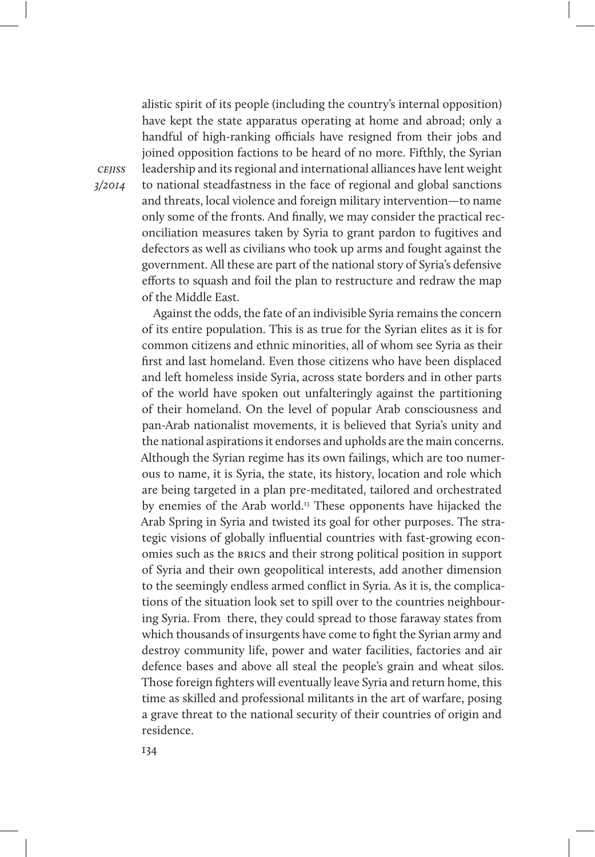alistic spirit of its people (including the country's internal opposition) have kept the state apparatus operating at home and abroad; only a handful of high-ranking officials have resigned from their jobs and joined opposition factions to be heard of no more. Fifthly, the Syrian leadership and its regional and international alliances have lent weight to national steadfastness in the face of regional and global sanctions and threats, local violence and foreign military intervention—to name only some of the fronts. And finally, we may consider the practical reconciliation measures taken by Syria to grant pardon to fugitives and defectors as well as civilians who took up arms and fought against the government. All these are part of the national story of Syria's defensive efforts to squash and foil the plan to restructure and redraw the map of the Middle East.

Against the odds, the fate of an indivisible Syria remains the concern of its entire population. This is as true for the Syrian elites as it is for common citizens and ethnic minorities, all of whom see Syria as their first and last homeland. Even those citizens who have been displaced and left homeless inside Syria, across state borders and in other parts of the world have spoken out unfalteringly against the partitioning of their homeland. On the level of popular Arab consciousness and pan-Arab nationalist movements, it is believed that Syria's unity and the national aspirations it endorses and upholds are the main concerns. Although the Syrian regime has its own failings, which are too numerous to name, it is Syria, the state, its history, location and role which are being targeted in a plan pre-meditated, tailored and orchestrated by enemies of the Arab world.<sup>13</sup> These opponents have hijacked the Arab Spring in Syria and twisted its goal for other purposes. The strategic visions of globally influential countries with fast-growing economies such as the BRICS and their strong political position in support of Syria and their own geopolitical interests, add another dimension to the seemingly endless armed conflict in Syria. As it is, the complications of the situation look set to spill over to the countries neighbouring Syria. From there, they could spread to those faraway states from which thousands of insurgents have come to fight the Syrian army and destroy community life, power and water facilities, factories and air defence bases and above all steal the people's grain and wheat silos. Those foreign fighters will eventually leave Syria and return home, this time as skilled and professional militants in the art of warfare, posing a grave threat to the national security of their countries of origin and residence.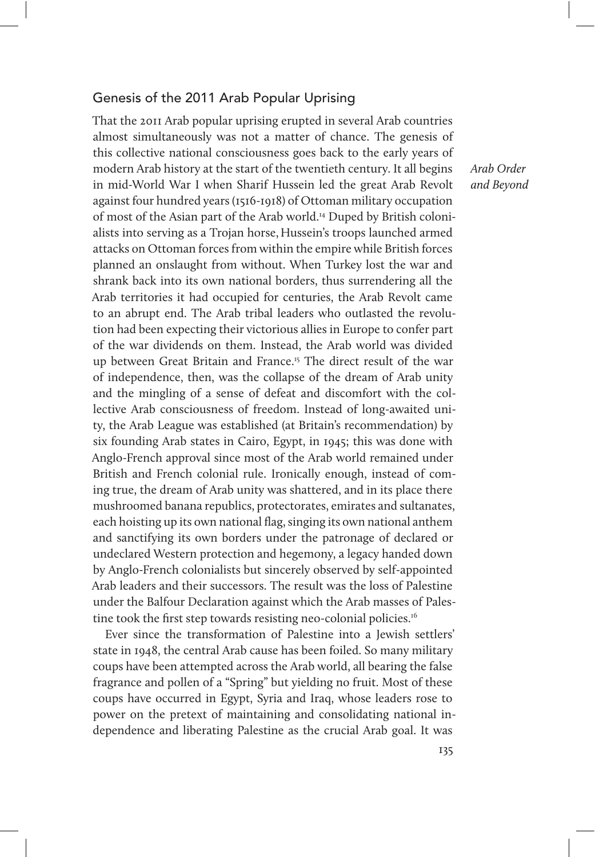## Genesis of the 2011 Arab Popular Uprising

That the 2011 Arab popular uprising erupted in several Arab countries almost simultaneously was not a matter of chance. The genesis of this collective national consciousness goes back to the early years of modern Arab history at the start of the twentieth century. It all begins in mid-World War I when Sharif Hussein led the great Arab Revolt against four hundred years (1516-1918) of Ottoman military occupation of most of the Asian part of the Arab world.<sup>14</sup> Duped by British colonialists into serving as a Trojan horse, Hussein's troops launched armed attacks on Ottoman forces from within the empire while British forces planned an onslaught from without. When Turkey lost the war and shrank back into its own national borders, thus surrendering all the Arab territories it had occupied for centuries, the Arab Revolt came to an abrupt end. The Arab tribal leaders who outlasted the revolution had been expecting their victorious allies in Europe to confer part of the war dividends on them. Instead, the Arab world was divided up between Great Britain and France.15 The direct result of the war of independence, then, was the collapse of the dream of Arab unity and the mingling of a sense of defeat and discomfort with the collective Arab consciousness of freedom. Instead of long-awaited unity, the Arab League was established (at Britain's recommendation) by six founding Arab states in Cairo, Egypt, in 1945; this was done with Anglo-French approval since most of the Arab world remained under British and French colonial rule. Ironically enough, instead of coming true, the dream of Arab unity was shattered, and in its place there mushroomed banana republics, protectorates, emirates and sultanates, each hoisting up its own national flag, singing its own national anthem and sanctifying its own borders under the patronage of declared or undeclared Western protection and hegemony, a legacy handed down by Anglo-French colonialists but sincerely observed by self-appointed Arab leaders and their successors. The result was the loss of Palestine under the Balfour Declaration against which the Arab masses of Palestine took the first step towards resisting neo-colonial policies.<sup>16</sup>

Ever since the transformation of Palestine into a Jewish settlers' state in 1948, the central Arab cause has been foiled. So many military coups have been attempted across the Arab world, all bearing the false fragrance and pollen of a "Spring" but yielding no fruit. Most of these coups have occurred in Egypt, Syria and Iraq, whose leaders rose to power on the pretext of maintaining and consolidating national independence and liberating Palestine as the crucial Arab goal. It was

Arab Order and Beyond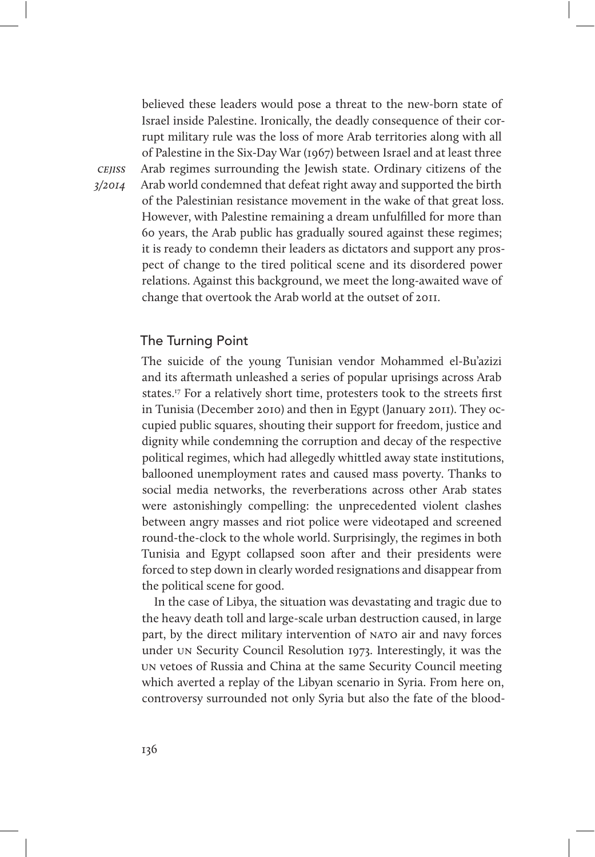believed these leaders would pose a threat to the new-born state of Israel inside Palestine. Ironically, the deadly consequence of their corrupt military rule was the loss of more Arab territories along with all of Palestine in the Six-Day War (1967) between Israel and at least three Arab regimes surrounding the Jewish state. Ordinary citizens of the Arab world condemned that defeat right away and supported the birth of the Palestinian resistance movement in the wake of that great loss. However, with Palestine remaining a dream unfulfilled for more than 60 years, the Arab public has gradually soured against these regimes; it is ready to condemn their leaders as dictators and support any prospect of change to the tired political scene and its disordered power relations. Against this background, we meet the long-awaited wave of change that overtook the Arab world at the outset of 2011.

#### The Turning Point

The suicide of the young Tunisian vendor Mohammed el-Bu'azizi and its aftermath unleashed a series of popular uprisings across Arab states.<sup>17</sup> For a relatively short time, protesters took to the streets first in Tunisia (December 2010) and then in Egypt (January 2011). They occupied public squares, shouting their support for freedom, justice and dignity while condemning the corruption and decay of the respective political regimes, which had allegedly whittled away state institutions, ballooned unemployment rates and caused mass poverty. Thanks to social media networks, the reverberations across other Arab states were astonishingly compelling: the unprecedented violent clashes between angry masses and riot police were videotaped and screened round-the-clock to the whole world. Surprisingly, the regimes in both Tunisia and Egypt collapsed soon after and their presidents were forced to step down in clearly worded resignations and disappear from the political scene for good.

In the case of Libya, the situation was devastating and tragic due to the heavy death toll and large-scale urban destruction caused, in large part, by the direct military intervention of NATO air and navy forces under un Security Council Resolution 1973. Interestingly, it was the un vetoes of Russia and China at the same Security Council meeting which averted a replay of the Libyan scenario in Syria. From here on, controversy surrounded not only Syria but also the fate of the blood-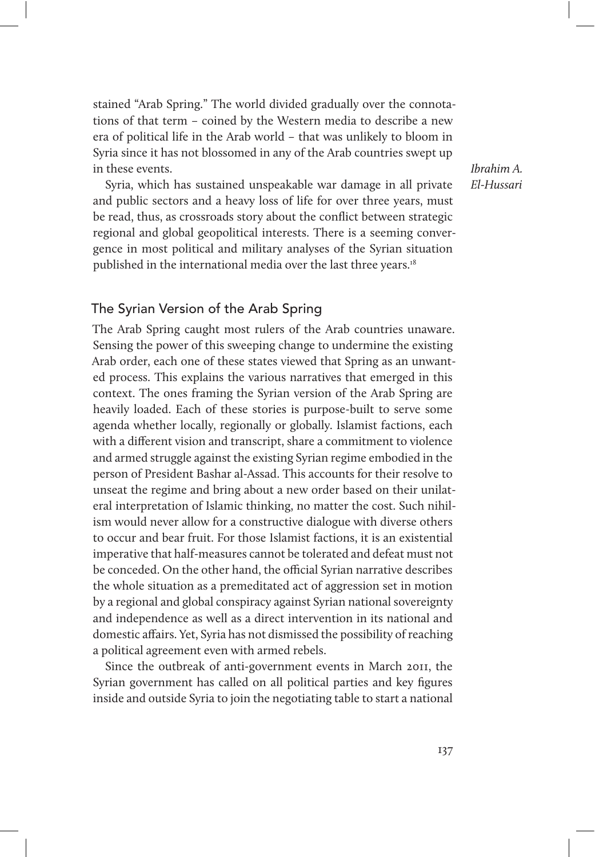stained "Arab Spring." The world divided gradually over the connotations of that term – coined by the Western media to describe a new era of political life in the Arab world – that was unlikely to bloom in Syria since it has not blossomed in any of the Arab countries swept up in these events.

Syria, which has sustained unspeakable war damage in all private and public sectors and a heavy loss of life for over three years, must be read, thus, as crossroads story about the conflict between strategic regional and global geopolitical interests. There is a seeming convergence in most political and military analyses of the Syrian situation published in the international media over the last three years.<sup>18</sup>

Ibrahim A. El-Hussari

# The Syrian Version of the Arab Spring

The Arab Spring caught most rulers of the Arab countries unaware. Sensing the power of this sweeping change to undermine the existing Arab order, each one of these states viewed that Spring as an unwanted process. This explains the various narratives that emerged in this context. The ones framing the Syrian version of the Arab Spring are heavily loaded. Each of these stories is purpose-built to serve some agenda whether locally, regionally or globally. Islamist factions, each with a different vision and transcript, share a commitment to violence and armed struggle against the existing Syrian regime embodied in the person of President Bashar al-Assad. This accounts for their resolve to unseat the regime and bring about a new order based on their unilateral interpretation of Islamic thinking, no matter the cost. Such nihilism would never allow for a constructive dialogue with diverse others to occur and bear fruit. For those Islamist factions, it is an existential imperative that half-measures cannot be tolerated and defeat must not be conceded. On the other hand, the official Syrian narrative describes the whole situation as a premeditated act of aggression set in motion by a regional and global conspiracy against Syrian national sovereignty and independence as well as a direct intervention in its national and domestic affairs. Yet, Syria has not dismissed the possibility of reaching a political agreement even with armed rebels.

Since the outbreak of anti-government events in March 2011, the Syrian government has called on all political parties and key figures inside and outside Syria to join the negotiating table to start a national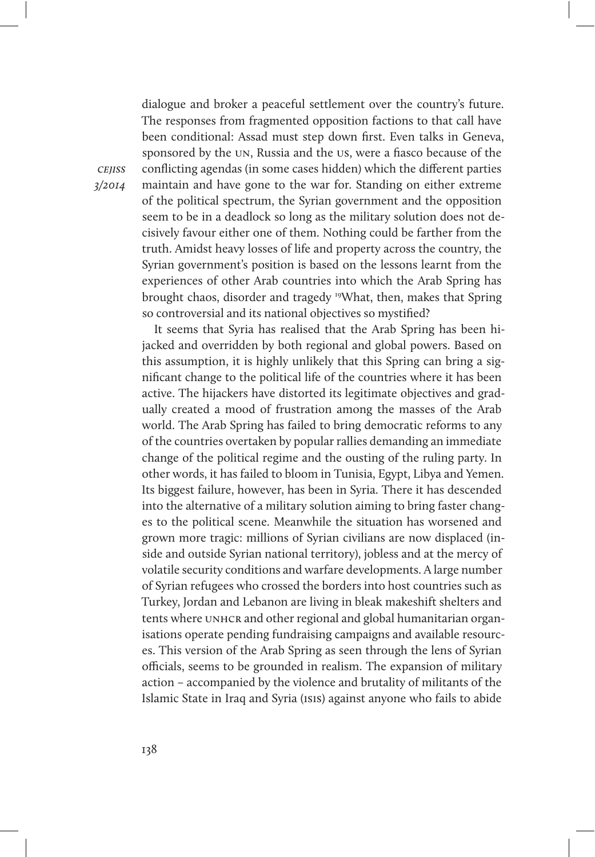dialogue and broker a peaceful settlement over the country's future. The responses from fragmented opposition factions to that call have been conditional: Assad must step down first. Even talks in Geneva, sponsored by the un, Russia and the us, were a fiasco because of the conflicting agendas (in some cases hidden) which the different parties maintain and have gone to the war for. Standing on either extreme of the political spectrum, the Syrian government and the opposition seem to be in a deadlock so long as the military solution does not decisively favour either one of them. Nothing could be farther from the truth. Amidst heavy losses of life and property across the country, the Syrian government's position is based on the lessons learnt from the experiences of other Arab countries into which the Arab Spring has brought chaos, disorder and tragedy 19What, then, makes that Spring so controversial and its national objectives so mystified?

It seems that Syria has realised that the Arab Spring has been hijacked and overridden by both regional and global powers. Based on this assumption, it is highly unlikely that this Spring can bring a significant change to the political life of the countries where it has been active. The hijackers have distorted its legitimate objectives and gradually created a mood of frustration among the masses of the Arab world. The Arab Spring has failed to bring democratic reforms to any of the countries overtaken by popular rallies demanding an immediate change of the political regime and the ousting of the ruling party. In other words, it has failed to bloom in Tunisia, Egypt, Libya and Yemen. Its biggest failure, however, has been in Syria. There it has descended into the alternative of a military solution aiming to bring faster changes to the political scene. Meanwhile the situation has worsened and grown more tragic: millions of Syrian civilians are now displaced (inside and outside Syrian national territory), jobless and at the mercy of volatile security conditions and warfare developments. A large number of Syrian refugees who crossed the borders into host countries such as Turkey, Jordan and Lebanon are living in bleak makeshift shelters and tents where UNHCR and other regional and global humanitarian organisations operate pending fundraising campaigns and available resources. This version of the Arab Spring as seen through the lens of Syrian officials, seems to be grounded in realism. The expansion of military action – accompanied by the violence and brutality of militants of the Islamic State in Iraq and Syria (isis) against anyone who fails to abide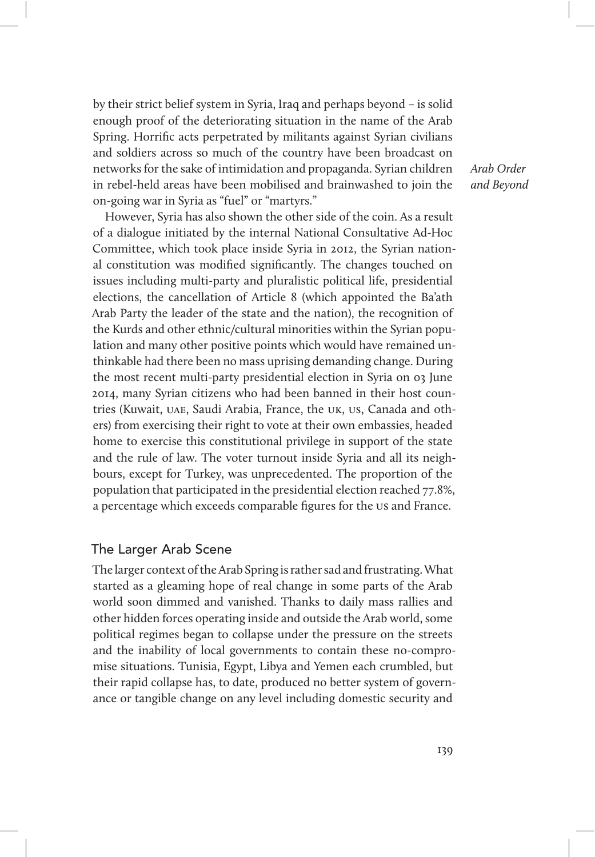by their strict belief system in Syria, Iraq and perhaps beyond – is solid enough proof of the deteriorating situation in the name of the Arab Spring. Horrific acts perpetrated by militants against Syrian civilians and soldiers across so much of the country have been broadcast on networks for the sake of intimidation and propaganda. Syrian children in rebel-held areas have been mobilised and brainwashed to join the on-going war in Syria as "fuel" or "martyrs."

However, Syria has also shown the other side of the coin. As a result of a dialogue initiated by the internal National Consultative Ad-Hoc Committee, which took place inside Syria in 2012, the Syrian national constitution was modified significantly. The changes touched on issues including multi-party and pluralistic political life, presidential elections, the cancellation of Article 8 (which appointed the Ba'ath Arab Party the leader of the state and the nation), the recognition of the Kurds and other ethnic/cultural minorities within the Syrian population and many other positive points which would have remained unthinkable had there been no mass uprising demanding change. During the most recent multi-party presidential election in Syria on 03 June 2014, many Syrian citizens who had been banned in their host countries (Kuwait, uae, Saudi Arabia, France, the uk, us, Canada and others) from exercising their right to vote at their own embassies, headed home to exercise this constitutional privilege in support of the state and the rule of law. The voter turnout inside Syria and all its neighbours, except for Turkey, was unprecedented. The proportion of the population that participated in the presidential election reached 77.8%, a percentage which exceeds comparable figures for the us and France.

#### The Larger Arab Scene

The larger context of the Arab Spring is rather sad and frustrating. What started as a gleaming hope of real change in some parts of the Arab world soon dimmed and vanished. Thanks to daily mass rallies and other hidden forces operating inside and outside the Arab world, some political regimes began to collapse under the pressure on the streets and the inability of local governments to contain these no-compromise situations. Tunisia, Egypt, Libya and Yemen each crumbled, but their rapid collapse has, to date, produced no better system of governance or tangible change on any level including domestic security and

Arab Order and Beyond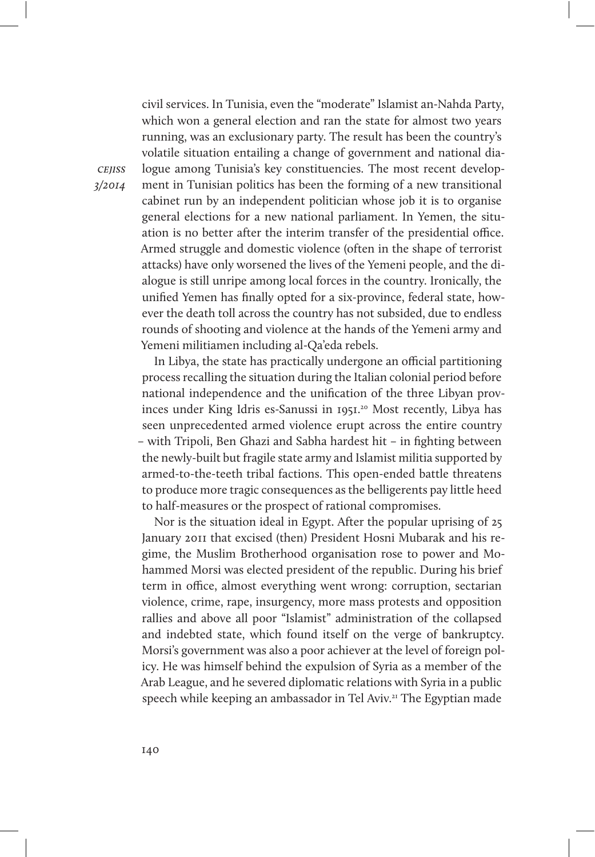civil services. In Tunisia, even the "moderate" Islamist an-Nahda Party, which won a general election and ran the state for almost two years running, was an exclusionary party. The result has been the country's volatile situation entailing a change of government and national dialogue among Tunisia's key constituencies. The most recent development in Tunisian politics has been the forming of a new transitional cabinet run by an independent politician whose job it is to organise general elections for a new national parliament. In Yemen, the situation is no better after the interim transfer of the presidential office. Armed struggle and domestic violence (often in the shape of terrorist attacks) have only worsened the lives of the Yemeni people, and the dialogue is still unripe among local forces in the country. Ironically, the unified Yemen has finally opted for a six-province, federal state, however the death toll across the country has not subsided, due to endless rounds of shooting and violence at the hands of the Yemeni army and Yemeni militiamen including al-Qa'eda rebels.

In Libya, the state has practically undergone an official partitioning process recalling the situation during the Italian colonial period before national independence and the unification of the three Libyan provinces under King Idris es-Sanussi in 1951.<sup>20</sup> Most recently, Libya has seen unprecedented armed violence erupt across the entire country – with Tripoli, Ben Ghazi and Sabha hardest hit – in fighting between the newly-built but fragile state army and Islamist militia supported by armed-to-the-teeth tribal factions. This open-ended battle threatens to produce more tragic consequences as the belligerents pay little heed to half-measures or the prospect of rational compromises.

Nor is the situation ideal in Egypt. After the popular uprising of 25 January 2011 that excised (then) President Hosni Mubarak and his regime, the Muslim Brotherhood organisation rose to power and Mohammed Morsi was elected president of the republic. During his brief term in office, almost everything went wrong: corruption, sectarian violence, crime, rape, insurgency, more mass protests and opposition rallies and above all poor "Islamist" administration of the collapsed and indebted state, which found itself on the verge of bankruptcy. Morsi's government was also a poor achiever at the level of foreign policy. He was himself behind the expulsion of Syria as a member of the Arab League, and he severed diplomatic relations with Syria in a public speech while keeping an ambassador in Tel Aviv.<sup>21</sup> The Egyptian made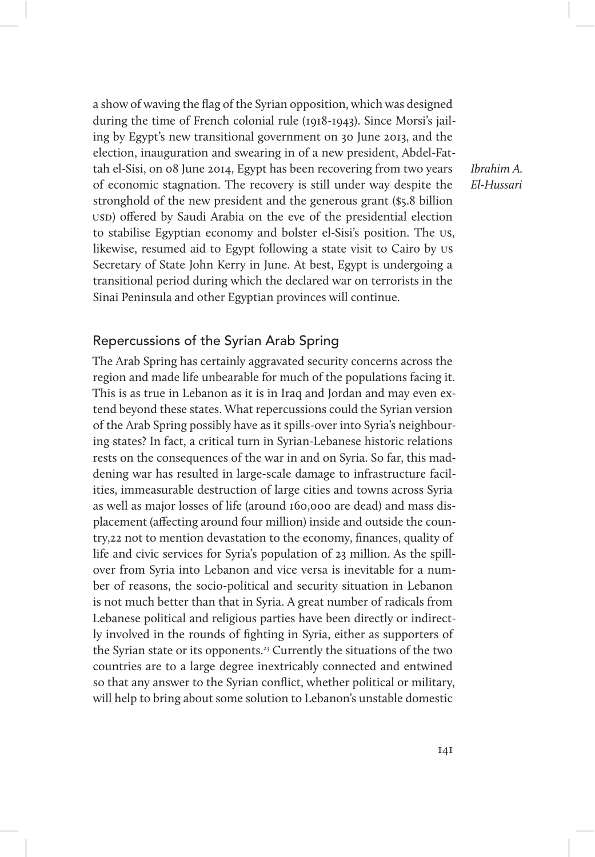a show of waving the flag of the Syrian opposition, which was designed during the time of French colonial rule (1918-1943). Since Morsi's jailing by Egypt's new transitional government on 30 June 2013, and the election, inauguration and swearing in of a new president, Abdel-Fattah el-Sisi, on 08 June 2014, Egypt has been recovering from two years of economic stagnation. The recovery is still under way despite the stronghold of the new president and the generous grant (\$5.8 billion usp) offered by Saudi Arabia on the eve of the presidential election to stabilise Egyptian economy and bolster el-Sisi's position. The us, likewise, resumed aid to Egypt following a state visit to Cairo by us Secretary of State John Kerry in June. At best, Egypt is undergoing a transitional period during which the declared war on terrorists in the Sinai Peninsula and other Egyptian provinces will continue.

## Repercussions of the Syrian Arab Spring

The Arab Spring has certainly aggravated security concerns across the region and made life unbearable for much of the populations facing it. This is as true in Lebanon as it is in Iraq and Jordan and may even extend beyond these states. What repercussions could the Syrian version of the Arab Spring possibly have as it spills-over into Syria's neighbouring states? In fact, a critical turn in Syrian-Lebanese historic relations rests on the consequences of the war in and on Syria. So far, this maddening war has resulted in large-scale damage to infrastructure facilities, immeasurable destruction of large cities and towns across Syria as well as major losses of life (around 160,000 are dead) and mass displacement (affecting around four million) inside and outside the country,22 not to mention devastation to the economy, finances, quality of life and civic services for Syria's population of 23 million. As the spillover from Syria into Lebanon and vice versa is inevitable for a number of reasons, the socio-political and security situation in Lebanon is not much better than that in Syria. A great number of radicals from Lebanese political and religious parties have been directly or indirectly involved in the rounds of fighting in Syria, either as supporters of the Syrian state or its opponents.<sup>23</sup> Currently the situations of the two countries are to a large degree inextricably connected and entwined so that any answer to the Syrian conflict, whether political or military, will help to bring about some solution to Lebanon's unstable domestic

Ibrahim A. El-Hussari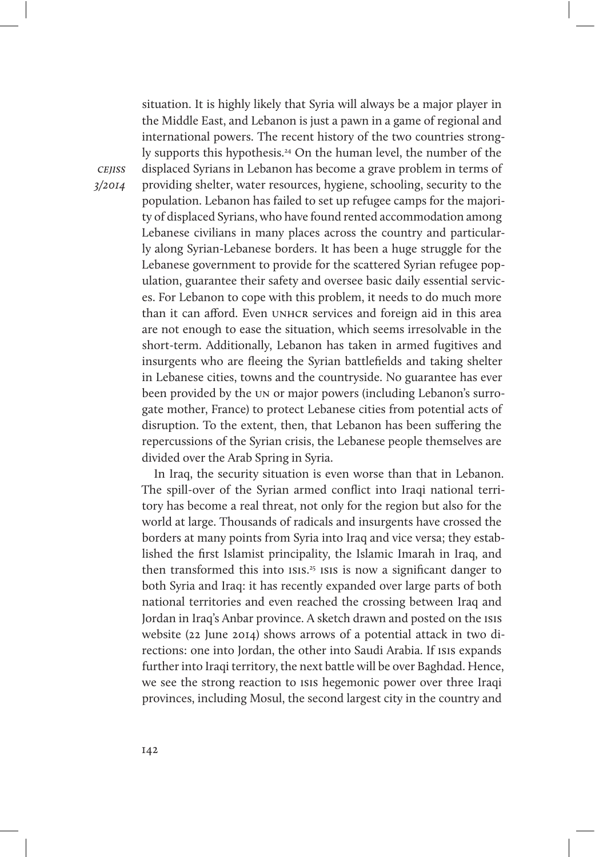**CEIISS** 3/2014

the Middle East, and Lebanon is just a pawn in a game of regional and international powers. The recent history of the two countries strongly supports this hypothesis.<sup>24</sup> On the human level, the number of the displaced Syrians in Lebanon has become a grave problem in terms of providing shelter, water resources, hygiene, schooling, security to the population. Lebanon has failed to set up refugee camps for the majority of displaced Syrians, who have found rented accommodation among Lebanese civilians in many places across the country and particularly along Syrian-Lebanese borders. It has been a huge struggle for the Lebanese government to provide for the scattered Syrian refugee population, guarantee their safety and oversee basic daily essential services. For Lebanon to cope with this problem, it needs to do much more than it can afford. Even UNHCR services and foreign aid in this area are not enough to ease the situation, which seems irresolvable in the short-term. Additionally, Lebanon has taken in armed fugitives and insurgents who are fleeing the Syrian battlefields and taking shelter in Lebanese cities, towns and the countryside. No guarantee has ever been provided by the un or major powers (including Lebanon's surrogate mother, France) to protect Lebanese cities from potential acts of disruption. To the extent, then, that Lebanon has been suffering the repercussions of the Syrian crisis, the Lebanese people themselves are divided over the Arab Spring in Syria.

situation. It is highly likely that Syria will always be a major player in

In Iraq, the security situation is even worse than that in Lebanon. The spill-over of the Syrian armed conflict into Iraqi national territory has become a real threat, not only for the region but also for the world at large. Thousands of radicals and insurgents have crossed the borders at many points from Syria into Iraq and vice versa; they established the first Islamist principality, the Islamic Imarah in Iraq, and then transformed this into ISIS.<sup>25</sup> ISIS is now a significant danger to both Syria and Iraq: it has recently expanded over large parts of both national territories and even reached the crossing between Iraq and Jordan in Iraq's Anbar province. A sketch drawn and posted on the isis website (22 June 2014) shows arrows of a potential attack in two directions: one into Jordan, the other into Saudi Arabia. If isis expands further into Iraqi territory, the next battle will be over Baghdad. Hence, we see the strong reaction to isis hegemonic power over three Iraqi provinces, including Mosul, the second largest city in the country and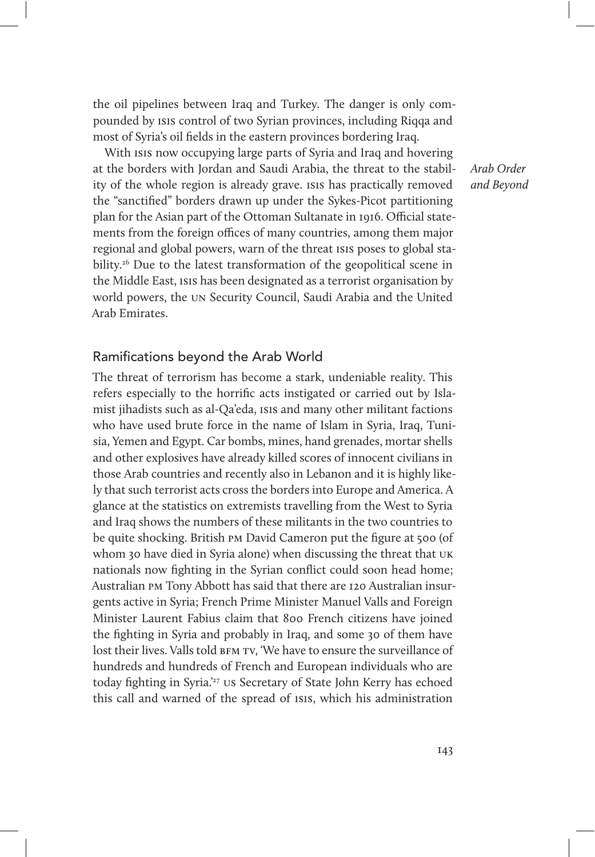the oil pipelines between Iraq and Turkey. The danger is only compounded by isis control of two Syrian provinces, including Riqqa and most of Syria's oil fields in the eastern provinces bordering Iraq.

With isis now occupying large parts of Syria and Iraq and hovering at the borders with Jordan and Saudi Arabia, the threat to the stability of the whole region is already grave. isis has practically removed the "sanctified" borders drawn up under the Sykes-Picot partitioning plan for the Asian part of the Ottoman Sultanate in 1916. Official statements from the foreign offices of many countries, among them major regional and global powers, warn of the threat isis poses to global stability.<sup>26</sup> Due to the latest transformation of the geopolitical scene in the Middle East, isis has been designated as a terrorist organisation by world powers, the un Security Council, Saudi Arabia and the United Arab Emirates.

## Arab Order and Beyond

#### Ramifications beyond the Arab World

The threat of terrorism has become a stark, undeniable reality. This refers especially to the horrific acts instigated or carried out by Islamist jihadists such as al-Qa'eda, isis and many other militant factions who have used brute force in the name of Islam in Syria, Iraq, Tunisia, Yemen and Egypt. Car bombs, mines, hand grenades, mortar shells and other explosives have already killed scores of innocent civilians in those Arab countries and recently also in Lebanon and it is highly likely that such terrorist acts cross the borders into Europe and America. A glance at the statistics on extremists travelling from the West to Syria and Iraq shows the numbers of these militants in the two countries to be quite shocking. British pm David Cameron put the figure at 500 (of whom 30 have died in Syria alone) when discussing the threat that uk nationals now fighting in the Syrian conflict could soon head home; Australian pm Tony Abbott has said that there are 120 Australian insurgents active in Syria; French Prime Minister Manuel Valls and Foreign Minister Laurent Fabius claim that 800 French citizens have joined the fighting in Syria and probably in Iraq, and some 30 of them have lost their lives. Valls told BFM TV, 'We have to ensure the surveillance of hundreds and hundreds of French and European individuals who are today fighting in Syria.'27 us Secretary of State John Kerry has echoed this call and warned of the spread of isis, which his administration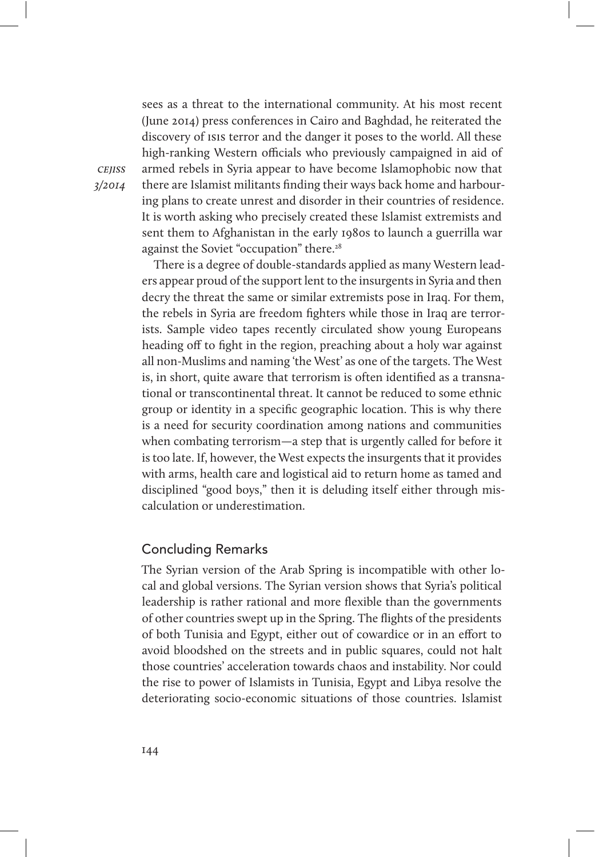sees as a threat to the international community. At his most recent (June 2014) press conferences in Cairo and Baghdad, he reiterated the discovery of isis terror and the danger it poses to the world. All these high-ranking Western officials who previously campaigned in aid of armed rebels in Syria appear to have become Islamophobic now that there are Islamist militants finding their ways back home and harbouring plans to create unrest and disorder in their countries of residence. It is worth asking who precisely created these Islamist extremists and sent them to Afghanistan in the early 1980s to launch a guerrilla war against the Soviet "occupation" there.28

There is a degree of double-standards applied as many Western leaders appear proud of the support lent to the insurgents in Syria and then decry the threat the same or similar extremists pose in Iraq. For them, the rebels in Syria are freedom fighters while those in Iraq are terrorists. Sample video tapes recently circulated show young Europeans heading off to fight in the region, preaching about a holy war against all non-Muslims and naming 'the West' as one of the targets. The West is, in short, quite aware that terrorism is often identified as a transnational or transcontinental threat. It cannot be reduced to some ethnic group or identity in a specific geographic location. This is why there is a need for security coordination among nations and communities when combating terrorism—a step that is urgently called for before it is too late. If, however, the West expects the insurgents that it provides with arms, health care and logistical aid to return home as tamed and disciplined "good boys," then it is deluding itself either through miscalculation or underestimation.

#### Concluding Remarks

The Syrian version of the Arab Spring is incompatible with other local and global versions. The Syrian version shows that Syria's political leadership is rather rational and more flexible than the governments of other countries swept up in the Spring. The flights of the presidents of both Tunisia and Egypt, either out of cowardice or in an effort to avoid bloodshed on the streets and in public squares, could not halt those countries' acceleration towards chaos and instability. Nor could the rise to power of Islamists in Tunisia, Egypt and Libya resolve the deteriorating socio-economic situations of those countries. Islamist

cejiss 3/2014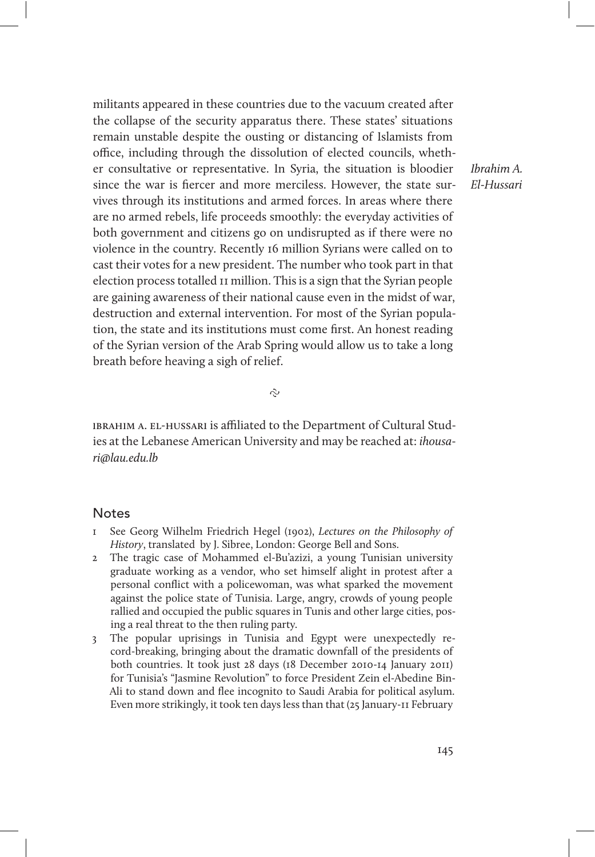militants appeared in these countries due to the vacuum created after the collapse of the security apparatus there. These states' situations remain unstable despite the ousting or distancing of Islamists from office, including through the dissolution of elected councils, whether consultative or representative. In Syria, the situation is bloodier since the war is fiercer and more merciless. However, the state survives through its institutions and armed forces. In areas where there are no armed rebels, life proceeds smoothly: the everyday activities of both government and citizens go on undisrupted as if there were no violence in the country. Recently 16 million Syrians were called on to cast their votes for a new president. The number who took part in that election process totalled 11 million. This is a sign that the Syrian people are gaining awareness of their national cause even in the midst of war, destruction and external intervention. For most of the Syrian population, the state and its institutions must come first. An honest reading of the Syrian version of the Arab Spring would allow us to take a long breath before heaving a sigh of relief.

Ibrahim A. El-Hussari

 $\tilde{C}$ 

ibrahim a. el-hussari is afliated to the Department of Cultural Studies at the Lebanese American University and may be reached at: ihousari@lau.edu.lb

#### **Notes**

- See Georg Wilhelm Friedrich Hegel (1902), Lectures on the Philosophy of History, translated by J. Sibree, London: George Bell and Sons.
- 2 The tragic case of Mohammed el-Bu'azizi, a young Tunisian university graduate working as a vendor, who set himself alight in protest after a personal conflict with a policewoman, was what sparked the movement against the police state of Tunisia. Large, angry, crowds of young people rallied and occupied the public squares in Tunis and other large cities, posing a real threat to the then ruling party.
- 3 The popular uprisings in Tunisia and Egypt were unexpectedly record-breaking, bringing about the dramatic downfall of the presidents of both countries. It took just 28 days (18 December 2010-14 January 2011) for Tunisia's "Jasmine Revolution" to force President Zein el-Abedine Bin-Ali to stand down and flee incognito to Saudi Arabia for political asylum. Even more strikingly, it took ten days less than that (25 January-11 February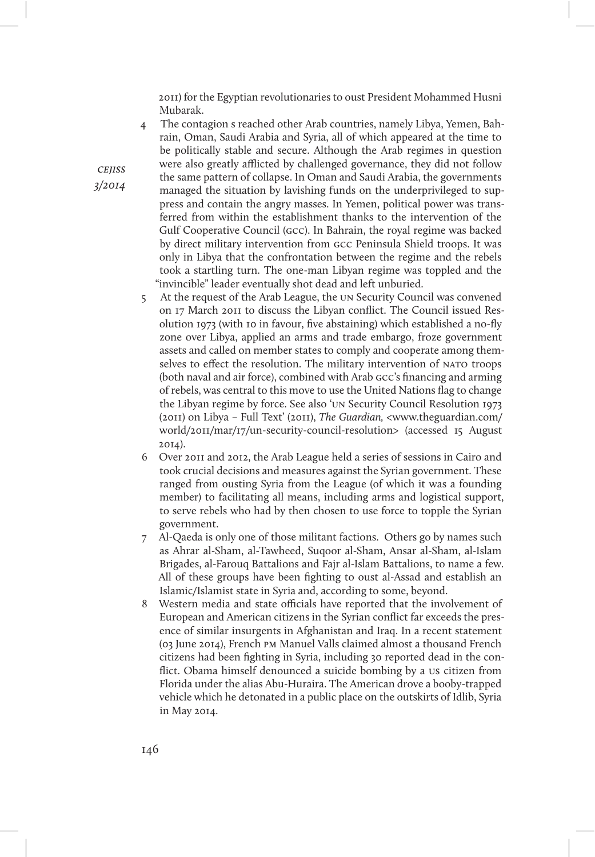2011) for the Egyptian revolutionaries to oust President Mohammed Husni Mubarak.

4 The contagion s reached other Arab countries, namely Libya, Yemen, Bahrain, Oman, Saudi Arabia and Syria, all of which appeared at the time to be politically stable and secure. Although the Arab regimes in question were also greatly afflicted by challenged governance, they did not follow the same pattern of collapse. In Oman and Saudi Arabia, the governments managed the situation by lavishing funds on the underprivileged to suppress and contain the angry masses. In Yemen, political power was transferred from within the establishment thanks to the intervention of the Gulf Cooperative Council (gcc). In Bahrain, the royal regime was backed by direct military intervention from gcc Peninsula Shield troops. It was only in Libya that the confrontation between the regime and the rebels took a startling turn. The one-man Libyan regime was toppled and the "invincible" leader eventually shot dead and left unburied.

- 5 At the request of the Arab League, the un Security Council was convened on 17 March 2011 to discuss the Libyan conflict. The Council issued Resolution 1973 (with 10 in favour, five abstaining) which established a no-fly zone over Libya, applied an arms and trade embargo, froze government assets and called on member states to comply and cooperate among themselves to effect the resolution. The military intervention of NATO troops (both naval and air force), combined with Arab gcc's financing and arming of rebels, was central to this move to use the United Nations flag to change the Libyan regime by force. See also 'un Security Council Resolution 1973 (2011) on Libya – Full Text' (2011), The Guardian, <www.theguardian.com/ world/2011/mar/17/un-security-council-resolution> (accessed 15 August 2014).
- 6 Over 2011 and 2012, the Arab League held a series of sessions in Cairo and took crucial decisions and measures against the Syrian government. These ranged from ousting Syria from the League (of which it was a founding member) to facilitating all means, including arms and logistical support, to serve rebels who had by then chosen to use force to topple the Syrian government.
- 7 Al-Qaeda is only one of those militant factions. Others go by names such as Ahrar al-Sham, al-Tawheed, Suqoor al-Sham, Ansar al-Sham, al-Islam Brigades, al-Farouq Battalions and Fajr al-Islam Battalions, to name a few. All of these groups have been fighting to oust al-Assad and establish an Islamic/Islamist state in Syria and, according to some, beyond.
- 8 Western media and state officials have reported that the involvement of European and American citizens in the Syrian conflict far exceeds the presence of similar insurgents in Afghanistan and Iraq. In a recent statement (03 June 2014), French pm Manuel Valls claimed almost a thousand French citizens had been fighting in Syria, including 30 reported dead in the conflict. Obama himself denounced a suicide bombing by a us citizen from Florida under the alias Abu-Huraira. The American drove a booby-trapped vehicle which he detonated in a public place on the outskirts of Idlib, Syria in May 2014.

**CEJISS** 3/2014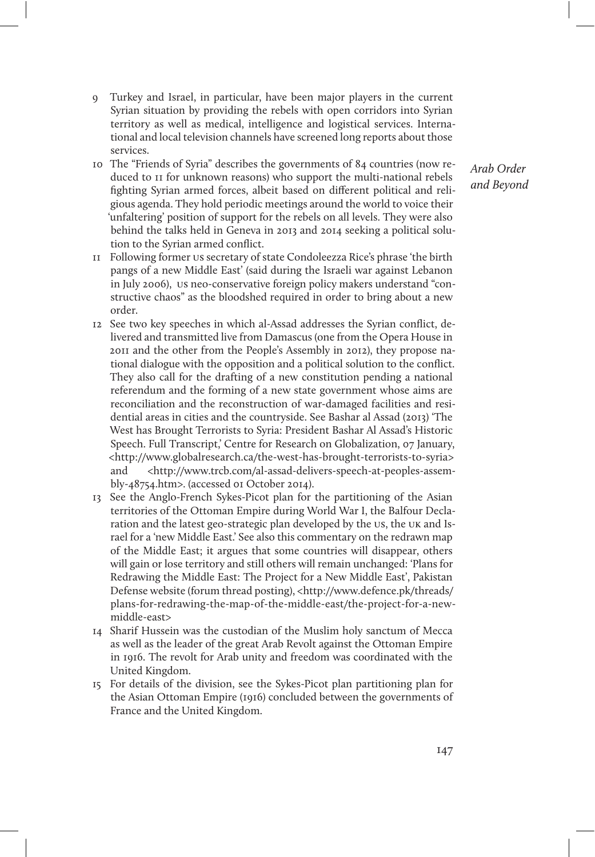- 9 Turkey and Israel, in particular, have been major players in the current Syrian situation by providing the rebels with open corridors into Syrian territory as well as medical, intelligence and logistical services. International and local television channels have screened long reports about those services.
- 10 The "Friends of Syria" describes the governments of 84 countries (now reduced to 11 for unknown reasons) who support the multi-national rebels fighting Syrian armed forces, albeit based on different political and religious agenda. They hold periodic meetings around the world to voice their 'unfaltering' position of support for the rebels on all levels. They were also behind the talks held in Geneva in 2013 and 2014 seeking a political solution to the Syrian armed conflict.
- 11 Following former us secretary of state Condoleezza Rice's phrase 'the birth pangs of a new Middle East' (said during the Israeli war against Lebanon in July 2006), us neo-conservative foreign policy makers understand "constructive chaos" as the bloodshed required in order to bring about a new order.
- 12 See two key speeches in which al-Assad addresses the Syrian conflict, delivered and transmitted live from Damascus (one from the Opera House in 2011 and the other from the People's Assembly in 2012), they propose national dialogue with the opposition and a political solution to the conflict. They also call for the drafting of a new constitution pending a national referendum and the forming of a new state government whose aims are reconciliation and the reconstruction of war-damaged facilities and residential areas in cities and the countryside. See Bashar al Assad (2013) 'The West has Brought Terrorists to Syria: President Bashar Al Assad's Historic Speech. Full Transcript,' Centre for Research on Globalization, 07 January, <http://www.globalresearch.ca/the-west-has-brought-terrorists-to-syria> and <http://www.trcb.com/al-assad-delivers-speech-at-peoples-assembly-48754.htm>. (accessed 01 October 2014).
- 13 See the Anglo-French Sykes-Picot plan for the partitioning of the Asian territories of the Ottoman Empire during World War I, the Balfour Declaration and the latest geo-strategic plan developed by the us, the uk and Israel for a 'new Middle East.' See also this commentary on the redrawn map of the Middle East; it argues that some countries will disappear, others will gain or lose territory and still others will remain unchanged: 'Plans for Redrawing the Middle East: The Project for a New Middle East', Pakistan Defense website (forum thread posting), <http://www.defence.pk/threads/ plans-for-redrawing-the-map-of-the-middle-east/the-project-for-a-newmiddle-east>
- 14 Sharif Hussein was the custodian of the Muslim holy sanctum of Mecca as well as the leader of the great Arab Revolt against the Ottoman Empire in 1916. The revolt for Arab unity and freedom was coordinated with the United Kingdom.
- 15 For details of the division, see the Sykes-Picot plan partitioning plan for the Asian Ottoman Empire (1916) concluded between the governments of France and the United Kingdom.

Arab Order and Beyond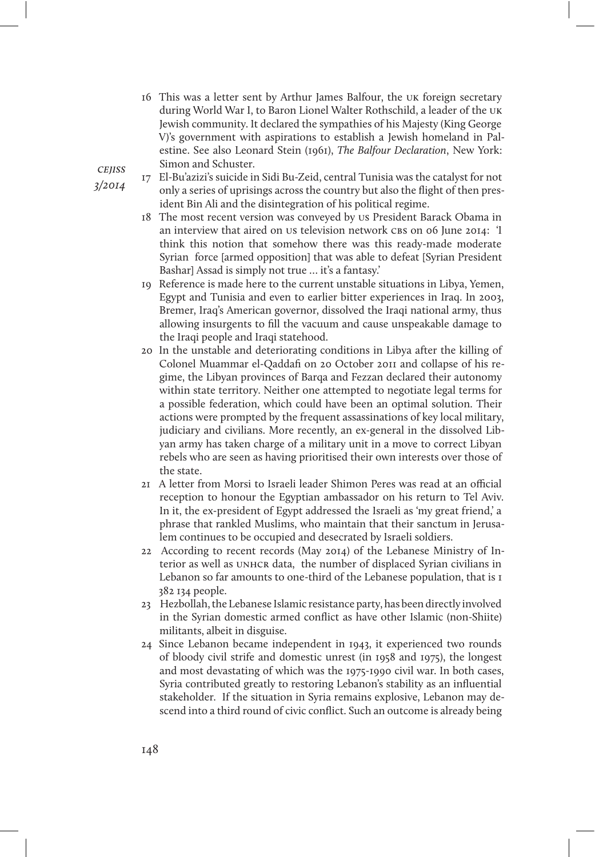16 This was a letter sent by Arthur James Balfour, the uk foreign secretary during World War I, to Baron Lionel Walter Rothschild, a leader of the uk Jewish community. It declared the sympathies of his Majesty (King George V)'s government with aspirations to establish a Jewish homeland in Palestine. See also Leonard Stein (1961), The Balfour Declaration, New York: Simon and Schuster.

**CEIISS** 3/2014

17 El-Bu'azizi's suicide in Sidi Bu-Zeid, central Tunisia was the catalyst for not only a series of uprisings across the country but also the flight of then president Bin Ali and the disintegration of his political regime.

- 18 The most recent version was conveyed by us President Barack Obama in an interview that aired on us television network CBS on 06 June 2014: 'I think this notion that somehow there was this ready-made moderate Syrian force [armed opposition] that was able to defeat [Syrian President Bashar] Assad is simply not true … it's a fantasy.'
- 19 Reference is made here to the current unstable situations in Libya, Yemen, Egypt and Tunisia and even to earlier bitter experiences in Iraq. In 2003, Bremer, Iraq's American governor, dissolved the Iraqi national army, thus allowing insurgents to fill the vacuum and cause unspeakable damage to the Iraqi people and Iraqi statehood.
- 20 In the unstable and deteriorating conditions in Libya after the killing of Colonel Muammar el-Qaddafi on 20 October 2011 and collapse of his regime, the Libyan provinces of Barqa and Fezzan declared their autonomy within state territory. Neither one attempted to negotiate legal terms for a possible federation, which could have been an optimal solution. Their actions were prompted by the frequent assassinations of key local military, judiciary and civilians. More recently, an ex-general in the dissolved Libyan army has taken charge of a military unit in a move to correct Libyan rebels who are seen as having prioritised their own interests over those of the state.
- 21 A letter from Morsi to Israeli leader Shimon Peres was read at an official reception to honour the Egyptian ambassador on his return to Tel Aviv. In it, the ex-president of Egypt addressed the Israeli as 'my great friend,' a phrase that rankled Muslims, who maintain that their sanctum in Jerusalem continues to be occupied and desecrated by Israeli soldiers.
- 22 According to recent records (May 2014) of the Lebanese Ministry of Interior as well as UNHCR data, the number of displaced Syrian civilians in Lebanon so far amounts to one-third of the Lebanese population, that is 1 382 134 people.
- 23 Hezbollah, the Lebanese Islamic resistance party, has been directly involved in the Syrian domestic armed conflict as have other Islamic (non-Shiite) militants, albeit in disguise.
- 24 Since Lebanon became independent in 1943, it experienced two rounds of bloody civil strife and domestic unrest (in 1958 and 1975), the longest and most devastating of which was the 1975-1990 civil war. In both cases, Syria contributed greatly to restoring Lebanon's stability as an influential stakeholder. If the situation in Syria remains explosive, Lebanon may descend into a third round of civic conflict. Such an outcome is already being